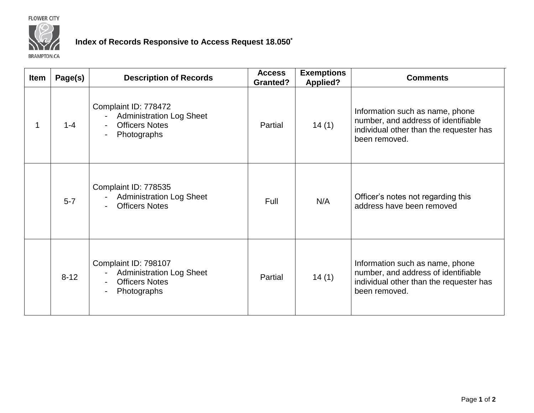**FLOWER CITY** 



## **Index of Records Responsive to Access Request 18.050\***

**BRAMPTON.CA** 

| Item | Page(s)  | <b>Description of Records</b>                                                                   | <b>Access</b><br><b>Granted?</b> | <b>Exemptions</b><br><b>Applied?</b> | <b>Comments</b>                                                                                                                    |
|------|----------|-------------------------------------------------------------------------------------------------|----------------------------------|--------------------------------------|------------------------------------------------------------------------------------------------------------------------------------|
| 1    | $1 - 4$  | Complaint ID: 778472<br><b>Administration Log Sheet</b><br><b>Officers Notes</b><br>Photographs | Partial                          | 14(1)                                | Information such as name, phone<br>number, and address of identifiable<br>individual other than the requester has<br>been removed. |
|      | $5 - 7$  | Complaint ID: 778535<br><b>Administration Log Sheet</b><br><b>Officers Notes</b>                | Full                             | N/A                                  | Officer's notes not regarding this<br>address have been removed                                                                    |
|      | $8 - 12$ | Complaint ID: 798107<br><b>Administration Log Sheet</b><br><b>Officers Notes</b><br>Photographs | Partial                          | 14(1)                                | Information such as name, phone<br>number, and address of identifiable<br>individual other than the requester has<br>been removed. |